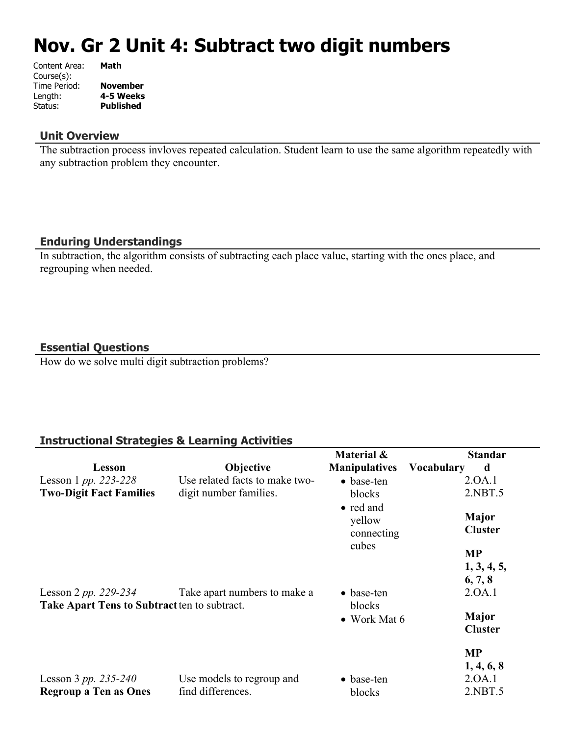# **Nov. Gr 2 Unit 4: Subtract two digit numbers**

| Content Area: | Math             |
|---------------|------------------|
| Course(s):    |                  |
| Time Period:  | <b>November</b>  |
| Length:       | 4-5 Weeks        |
| Status:       | <b>Published</b> |
|               |                  |

### **Unit Overview**

The subtraction process invloves repeated calculation. Student learn to use the same algorithm repeatedly with any subtraction problem they encounter.

## **Enduring Understandings**

In subtraction, the algorithm consists of subtracting each place value, starting with the ones place, and regrouping when needed.

### **Essential Questions**

How do we solve multi digit subtraction problems?

### **Instructional Strategies & Learning Activities**

|                                              |                                | Material &                        | <b>Standar</b>          |
|----------------------------------------------|--------------------------------|-----------------------------------|-------------------------|
| Lesson                                       | Objective                      | <b>Manipulatives</b>              | <b>Vocabulary</b><br>d  |
| Lesson 1 pp. 223-228                         | Use related facts to make two- | $\bullet$ base-ten                | 2.0A.1                  |
| <b>Two-Digit Fact Families</b>               | digit number families.         | blocks                            | 2.NBT.5                 |
|                                              |                                | • red and<br>yellow<br>connecting | Major<br><b>Cluster</b> |
|                                              |                                | cubes                             | <b>MP</b>               |
|                                              |                                |                                   | 1, 3, 4, 5,<br>6, 7, 8  |
| Lesson 2 pp. 229-234                         | Take apart numbers to make a   | $\bullet$ base-ten                | 2.0A.1                  |
| Take Apart Tens to Subtract ten to subtract. |                                | blocks<br>$\bullet$ Work Mat 6    | Major<br><b>Cluster</b> |
|                                              |                                |                                   | <b>MP</b><br>1, 4, 6, 8 |
| Lesson 3 pp. 235-240                         | Use models to regroup and      | $\bullet$ base-ten                | 2.0A.1                  |
| <b>Regroup a Ten as Ones</b>                 | find differences.              | blocks                            | 2.NBT.5                 |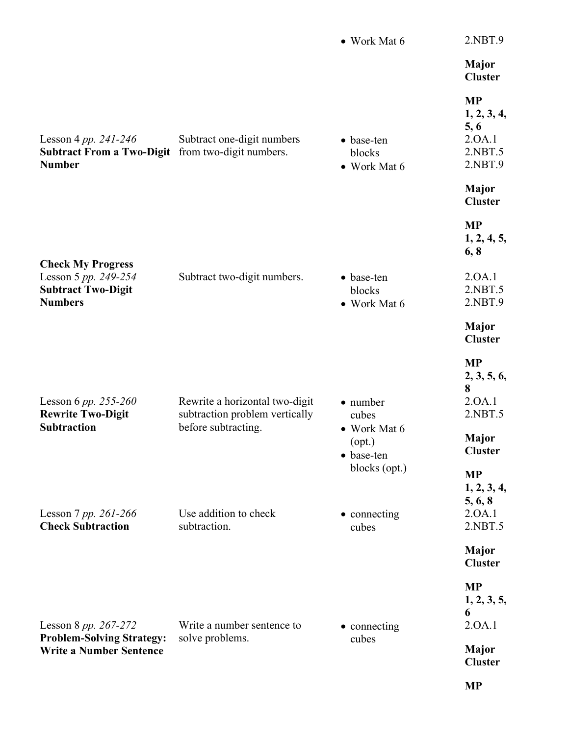|                                                                                                 |                                                                                         | • Work Mat 6                                                               | 2.NBT.9                                                                              |
|-------------------------------------------------------------------------------------------------|-----------------------------------------------------------------------------------------|----------------------------------------------------------------------------|--------------------------------------------------------------------------------------|
|                                                                                                 |                                                                                         |                                                                            | <b>Major</b><br><b>Cluster</b>                                                       |
| Lesson 4 pp. 241-246<br><b>Subtract From a Two-Digit</b><br><b>Number</b>                       | Subtract one-digit numbers<br>from two-digit numbers.                                   | • base-ten<br>blocks<br>• Work Mat 6                                       | <b>MP</b><br>1, 2, 3, 4,<br>5, 6<br>2.0A.1<br>2.NBT.5<br>2.NBT.9                     |
|                                                                                                 |                                                                                         |                                                                            | <b>Major</b><br><b>Cluster</b>                                                       |
|                                                                                                 |                                                                                         |                                                                            | <b>MP</b><br>1, 2, 4, 5,<br>6, 8                                                     |
| <b>Check My Progress</b><br>Lesson 5 pp. 249-254<br><b>Subtract Two-Digit</b><br><b>Numbers</b> | Subtract two-digit numbers.                                                             | • base-ten<br>blocks<br>• Work Mat 6                                       | 2.0A.1<br>2.NBT.5<br>2.NBT.9                                                         |
|                                                                                                 |                                                                                         |                                                                            | <b>Major</b><br><b>Cluster</b>                                                       |
| Lesson 6 pp. 255-260<br><b>Rewrite Two-Digit</b><br><b>Subtraction</b>                          | Rewrite a horizontal two-digit<br>subtraction problem vertically<br>before subtracting. | • number<br>cubes<br>• Work Mat 6<br>(opt.)<br>• base-ten<br>blocks (opt.) | <b>MP</b><br>2, 3, 5, 6,<br>8<br>2.0A.1<br>2.NBT.5<br><b>Major</b><br><b>Cluster</b> |
| Lesson 7 pp. 261-266<br><b>Check Subtraction</b>                                                | Use addition to check<br>subtraction.                                                   | • connecting<br>cubes                                                      | <b>MP</b><br>1, 2, 3, 4,<br>5, 6, 8<br>2.0A.1<br>2.NBT.5                             |
|                                                                                                 |                                                                                         |                                                                            | <b>Major</b><br><b>Cluster</b>                                                       |
| Lesson 8 pp. 267-272<br><b>Problem-Solving Strategy:</b><br><b>Write a Number Sentence</b>      | Write a number sentence to<br>solve problems.                                           | • connecting<br>cubes                                                      | <b>MP</b><br>1, 2, 3, 5,<br>6<br>2.0A.1                                              |
|                                                                                                 |                                                                                         |                                                                            | <b>Major</b><br><b>Cluster</b>                                                       |
|                                                                                                 |                                                                                         |                                                                            | <b>MP</b>                                                                            |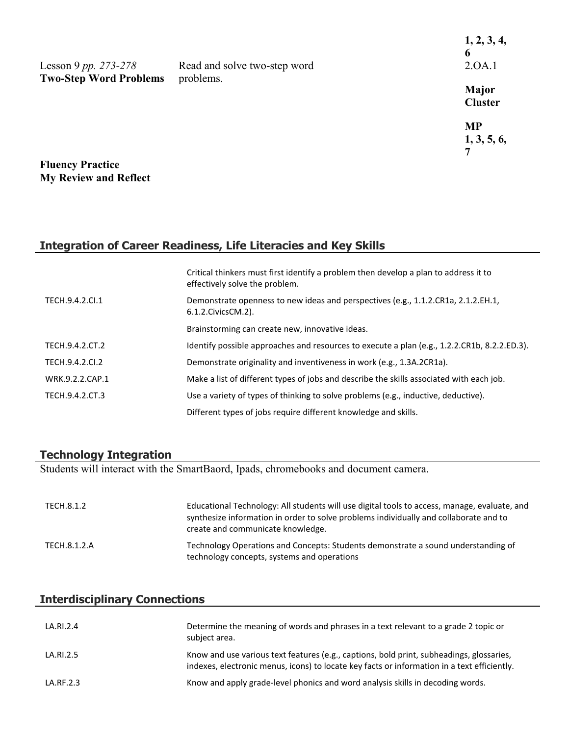|                                                       |                                           | 1, 2, 3, 4,<br>6 |
|-------------------------------------------------------|-------------------------------------------|------------------|
| Lesson 9 pp. 273-278<br><b>Two-Step Word Problems</b> | Read and solve two-step word<br>problems. | 2.0A.1           |
|                                                       |                                           | Major            |
|                                                       |                                           | <b>Cluster</b>   |
|                                                       |                                           | <b>MP</b>        |
|                                                       |                                           | 1, 3, 5, 6,      |
|                                                       |                                           |                  |
| <b>Fluency Practice</b>                               |                                           |                  |
| <b>My Review and Reflect</b>                          |                                           |                  |

# **Integration of Career Readiness, Life Literacies and Key Skills**

|                 | Critical thinkers must first identify a problem then develop a plan to address it to<br>effectively solve the problem. |
|-----------------|------------------------------------------------------------------------------------------------------------------------|
| TECH.9.4.2.Cl.1 | Demonstrate openness to new ideas and perspectives (e.g., 1.1.2.CR1a, 2.1.2.EH.1,<br>6.1.2. Civics CM. 2).             |
|                 | Brainstorming can create new, innovative ideas.                                                                        |
| TECH.9.4.2.CT.2 | Identify possible approaches and resources to execute a plan (e.g., 1.2.2.CR1b, 8.2.2.ED.3).                           |
| TECH.9.4.2.CI.2 | Demonstrate originality and inventiveness in work (e.g., 1.3A.2CR1a).                                                  |
| WRK.9.2.2.CAP.1 | Make a list of different types of jobs and describe the skills associated with each job.                               |
| TECH.9.4.2.CT.3 | Use a variety of types of thinking to solve problems (e.g., inductive, deductive).                                     |
|                 | Different types of jobs require different knowledge and skills.                                                        |

### **Technology Integration**

Students will interact with the SmartBaord, Ipads, chromebooks and document camera.

| TECH.8.1.2   | Educational Technology: All students will use digital tools to access, manage, evaluate, and<br>synthesize information in order to solve problems individually and collaborate and to<br>create and communicate knowledge. |
|--------------|----------------------------------------------------------------------------------------------------------------------------------------------------------------------------------------------------------------------------|
| TECH.8.1.2.A | Technology Operations and Concepts: Students demonstrate a sound understanding of<br>technology concepts, systems and operations                                                                                           |

# **Interdisciplinary Connections**

| LA.RI.2.4 | Determine the meaning of words and phrases in a text relevant to a grade 2 topic or<br>subject area.                                                                                    |
|-----------|-----------------------------------------------------------------------------------------------------------------------------------------------------------------------------------------|
| LA.RI.2.5 | Know and use various text features (e.g., captions, bold print, subheadings, glossaries,<br>indexes, electronic menus, icons) to locate key facts or information in a text efficiently. |
| LA.RF.2.3 | Know and apply grade-level phonics and word analysis skills in decoding words.                                                                                                          |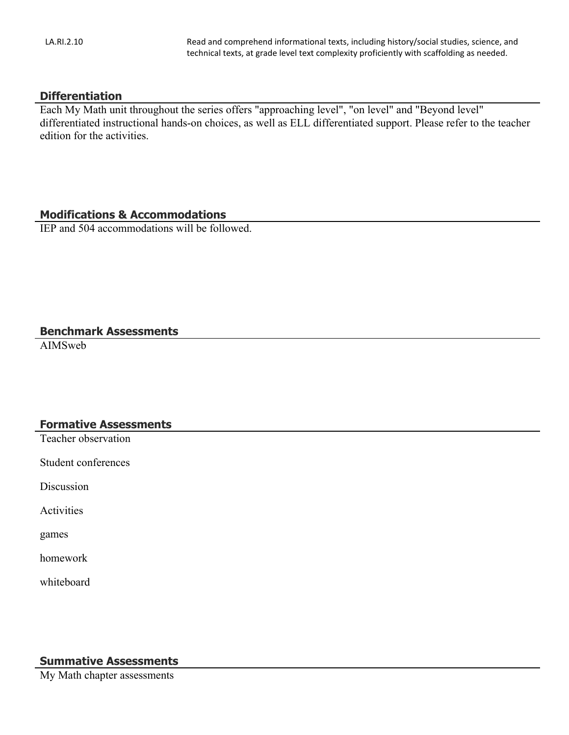#### **Differentiation**

Each My Math unit throughout the series offers "approaching level", "on level" and "Beyond level" differentiated instructional hands-on choices, as well as ELL differentiated support. Please refer to the teacher edition for the activities.

#### **Modifications & Accommodations**

IEP and 504 accommodations will be followed.

### **Benchmark Assessments**

AIMSweb

### **Formative Assessments**

Teacher observation

Student conferences

Discussion

Activities

games

homework

whiteboard

# **Summative Assessments**

My Math chapter assessments